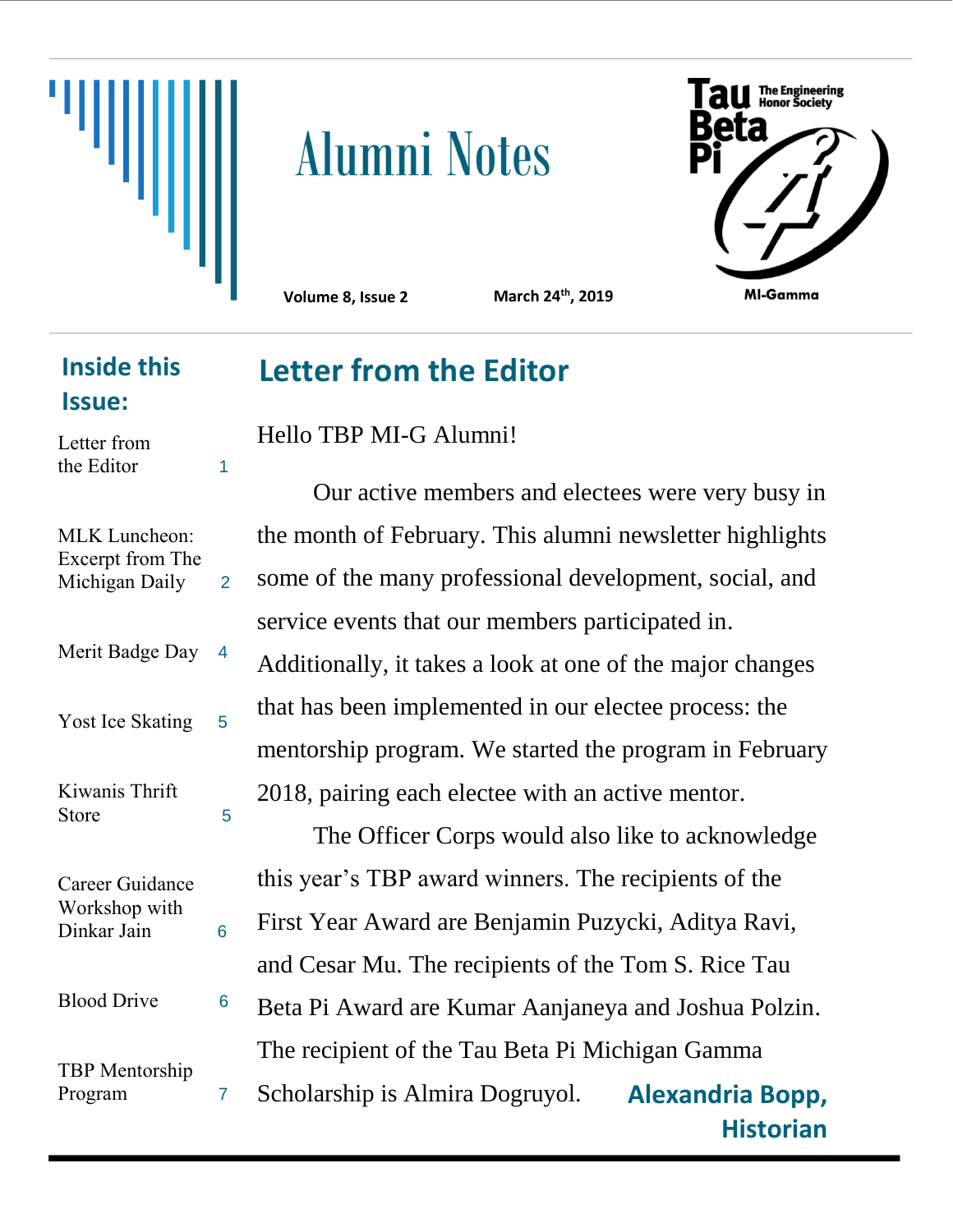

# **Alumni Notes**



**Volume 8, Issue 2** 

**th, 2019**

#### **Inside this Issue:**

| Letter from<br>the Editor                              | 1 |
|--------------------------------------------------------|---|
| MLK Luncheon:<br>Excerpt from The<br>Michigan Daily    | 2 |
| Merit Badge Day                                        | 4 |
| Yost Ice Skating                                       | 5 |
| Kiwanis Thrift<br>Store                                | 5 |
| <b>Career Guidance</b><br>Workshop with<br>Dinkar Jain | 6 |
| <b>Blood Drive</b>                                     | 6 |
| <b>TBP</b> Mentorship<br>Program                       |   |

## **Letter from the Editor**

#### Hello TBP MI-G Alumni!

Our active members and electees were very busy in the month of February. This alumni newsletter highlights some of the many professional development, social, and service events that our members participated in. Additionally, it takes a look at one of the major changes

that has been implemented in our electee process: the mentorship program. We started the program in February 2018, pairing each electee with an active mentor.

The Officer Corps would also like to acknowledge this year's TBP award winners. The recipients of the First Year Award are Benjamin Puzycki, Aditya Ravi, and Cesar Mu. The recipients of the Tom S. Rice Tau Beta Pi Award are Kumar Aanjaneya and Joshua Polzin. The recipient of the Tau Beta Pi Michigan Gamma Program 7 Scholarship is Almira Dogruyol. **Alexandria Bopp, Historian**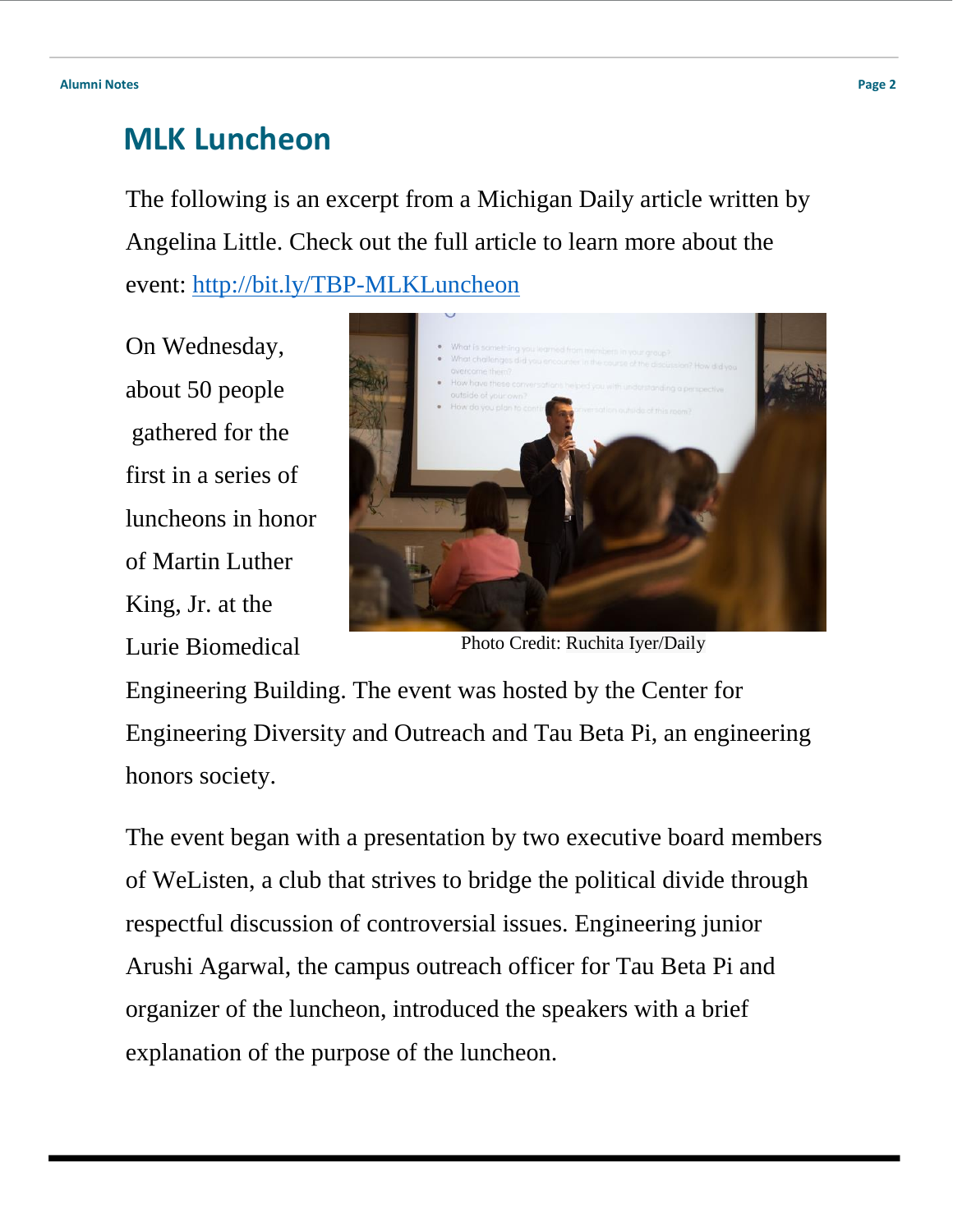#### **MLK Luncheon**

The following is an excerpt from a Michigan Daily article written by Angelina Little. Check out the full article to learn more about the event:<http://bit.ly/TBP-MLKLuncheon>

On Wednesday, about 50 people gathered for the first in a series of luncheons in honor of Martin Luther King, Jr. at the Lurie Biomedical



Photo Credit: Ruchita Iyer/Daily

Engineering Building. The event was hosted by the Center for Engineering Diversity and Outreach and Tau Beta Pi, an engineering honors society.

The event began with a presentation by two executive board members of WeListen, a club that strives to bridge the political divide through respectful discussion of controversial issues. Engineering junior Arushi Agarwal, the campus outreach officer for Tau Beta Pi and organizer of the luncheon, introduced the speakers with a brief explanation of the purpose of the luncheon.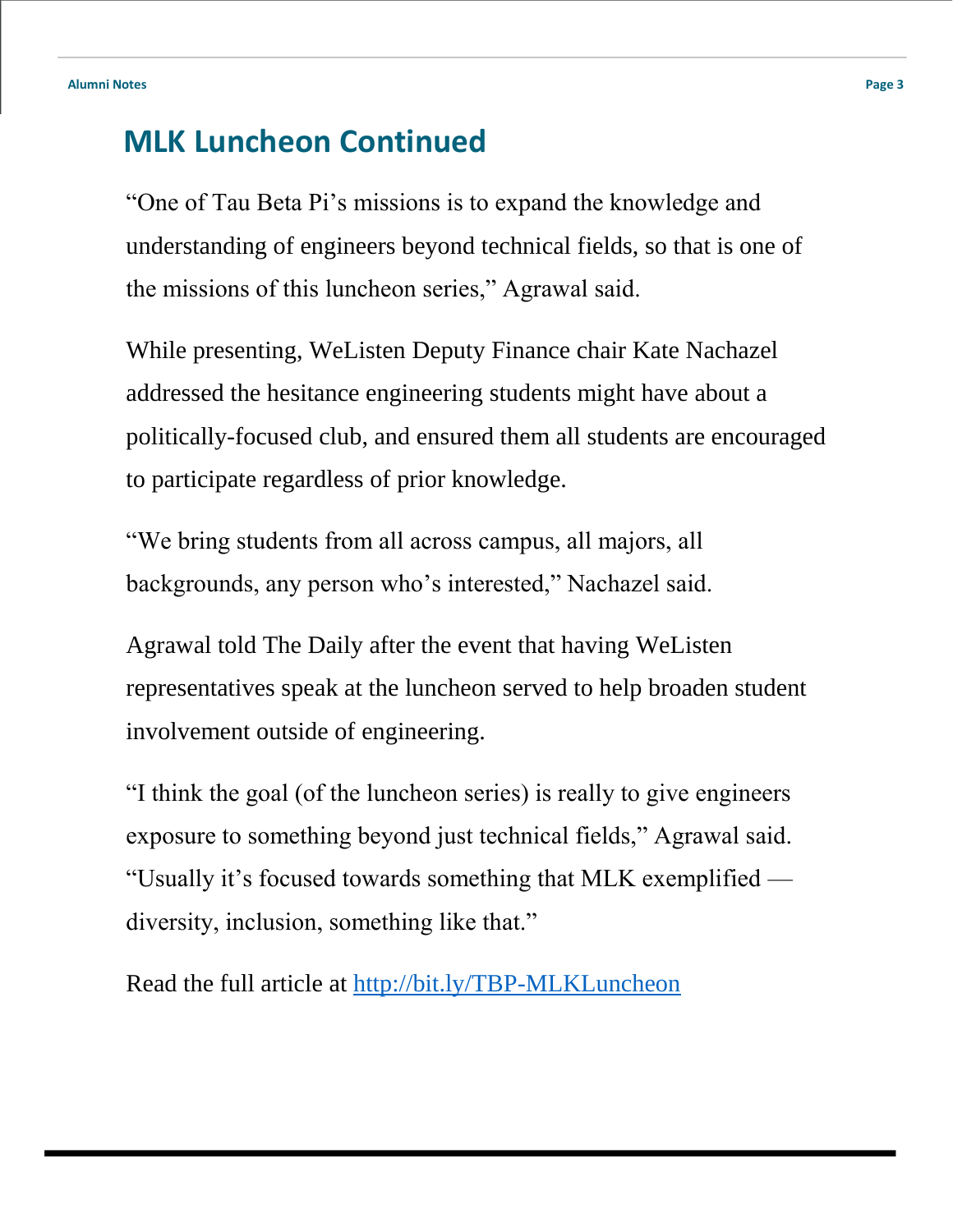#### **MLK Luncheon Continued**

"One of Tau Beta Pi's missions is to expand the knowledge and understanding of engineers beyond technical fields, so that is one of the missions of this luncheon series," Agrawal said.

While presenting, WeListen Deputy Finance chair Kate Nachazel addressed the hesitance engineering students might have about a politically-focused club, and ensured them all students are encouraged to participate regardless of prior knowledge.

"We bring students from all across campus, all majors, all backgrounds, any person who's interested," Nachazel said.

Agrawal told The Daily after the event that having WeListen representatives speak at the luncheon served to help broaden student involvement outside of engineering.

"I think the goal (of the luncheon series) is really to give engineers exposure to something beyond just technical fields," Agrawal said. "Usually it's focused towards something that MLK exemplified diversity, inclusion, something like that."

Read the full article at<http://bit.ly/TBP-MLKLuncheon>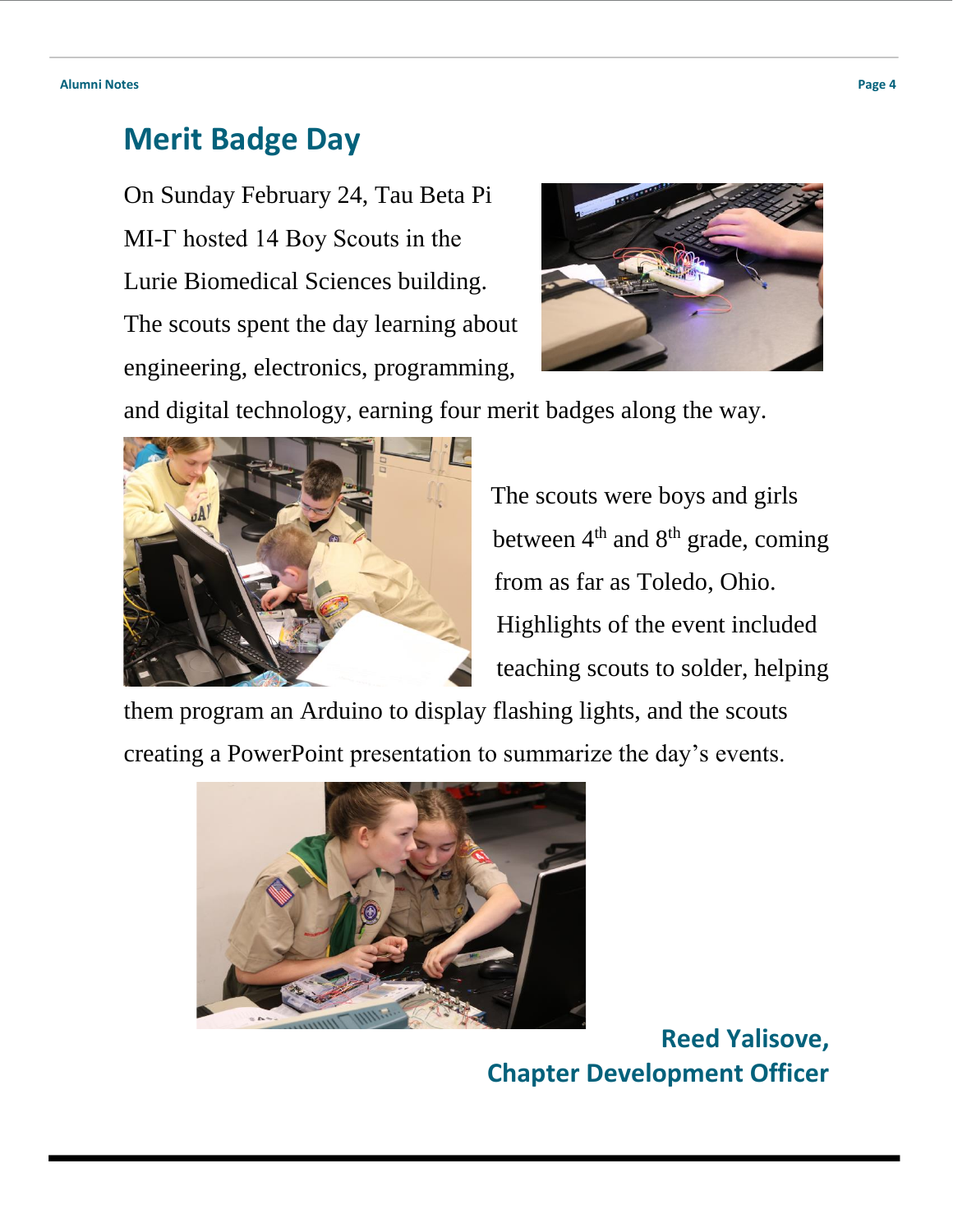## **Merit Badge Day**

On Sunday February 24, Tau Beta Pi MI-Γ hosted 14 Boy Scouts in the Lurie Biomedical Sciences building. The scouts spent the day learning about engineering, electronics, programming,



and digital technology, earning four merit badges along the way.



The scouts were boys and girls between 4<sup>th</sup> and 8<sup>th</sup> grade, coming from as far as Toledo, Ohio. Highlights of the event included teaching scouts to solder, helping

them program an Arduino to display flashing lights, and the scouts creating a PowerPoint presentation to summarize the day's events.



**Reed Yalisove, Chapter Development Officer**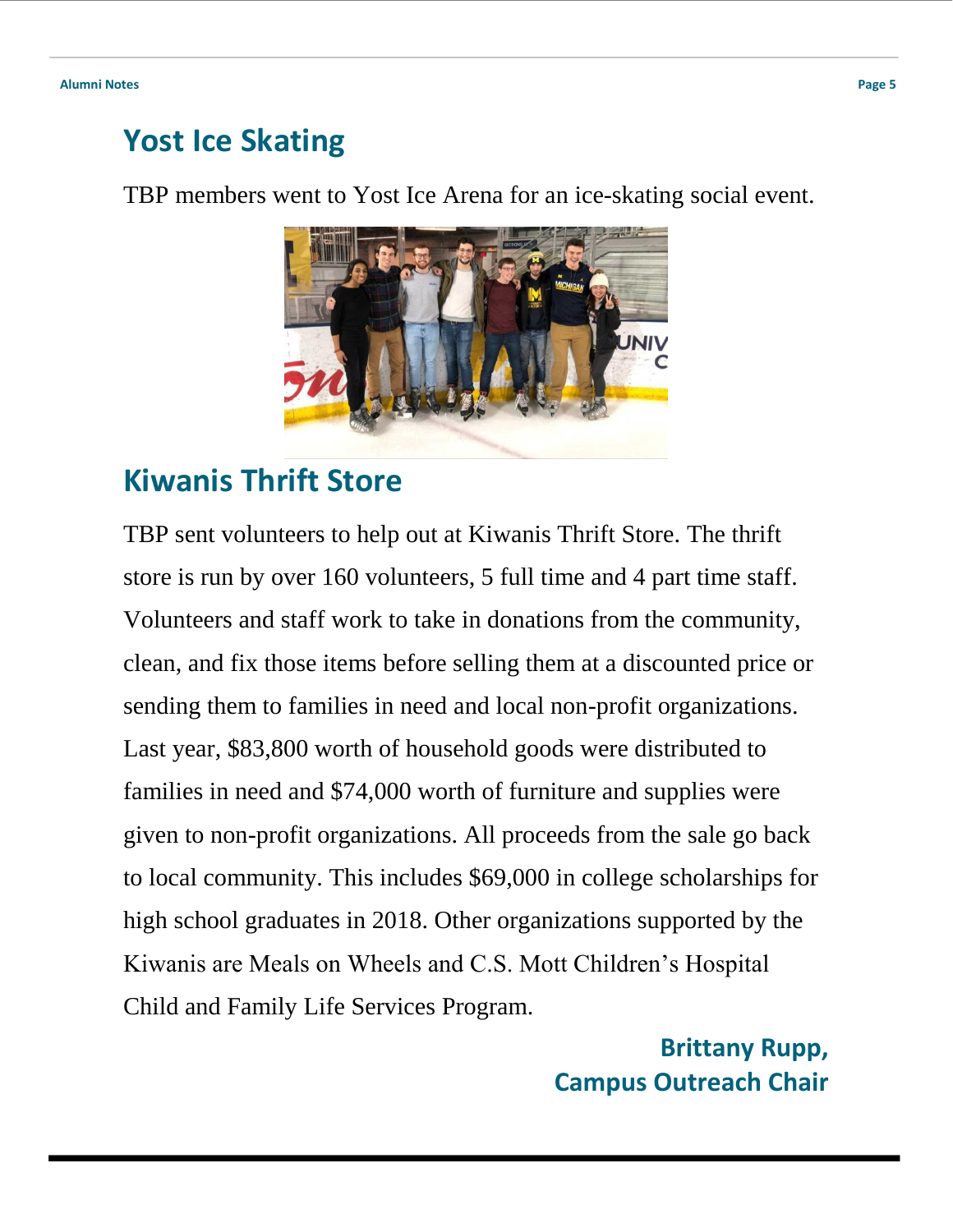#### **Yost Ice Skating**

TBP members went to Yost Ice Arena for an ice-skating social event.



## **Kiwanis Thrift Store**

TBP sent volunteers to help out at Kiwanis Thrift Store. The thrift store is run by over 160 volunteers, 5 full time and 4 part time staff. Volunteers and staff work to take in donations from the community, clean, and fix those items before selling them at a discounted price or sending them to families in need and local non-profit organizations. Last year, \$83,800 worth of household goods were distributed to families in need and \$74,000 worth of furniture and supplies were given to non-profit organizations. All proceeds from the sale go back to local community. This includes \$69,000 in college scholarships for high school graduates in 2018. Other organizations supported by the Kiwanis are Meals on Wheels and C.S. Mott Children's Hospital Child and Family Life Services Program.

> **Brittany Rupp, Campus Outreach Chair**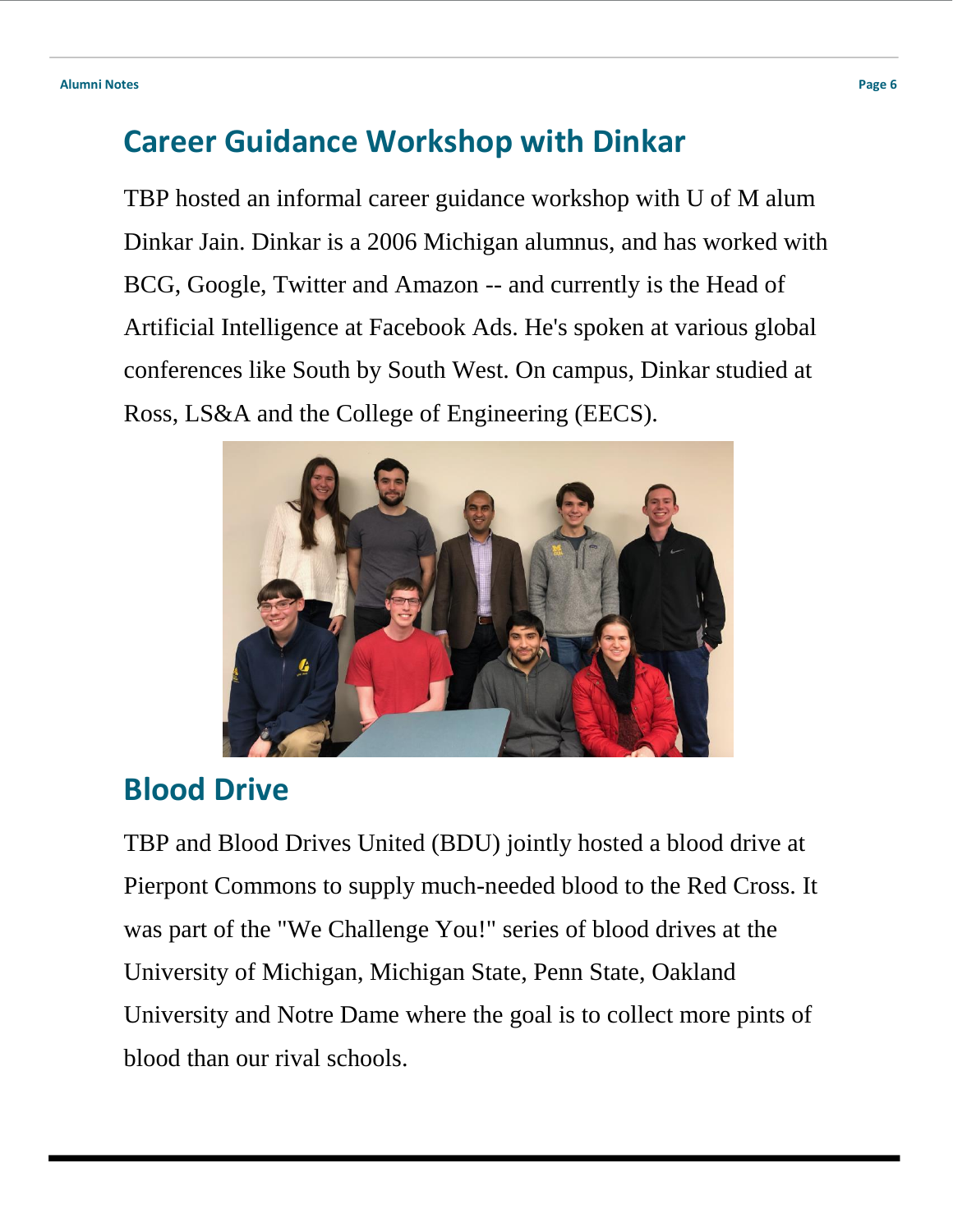## **Career Guidance Workshop with Dinkar**

TBP hosted an informal career guidance workshop with U of M alum Dinkar Jain. Dinkar is a 2006 Michigan alumnus, and has worked with BCG, Google, Twitter and Amazon -- and currently is the Head of Artificial Intelligence at Facebook Ads. He's spoken at various global conferences like South by South West. On campus, Dinkar studied at Ross, LS&A and the College of Engineering (EECS).



## **Blood Drive**

TBP and Blood Drives United (BDU) jointly hosted a blood drive at Pierpont Commons to supply much-needed blood to the Red Cross. It was part of the "We Challenge You!" series of blood drives at the University of Michigan, Michigan State, Penn State, Oakland University and Notre Dame where the goal is to collect more pints of blood than our rival schools.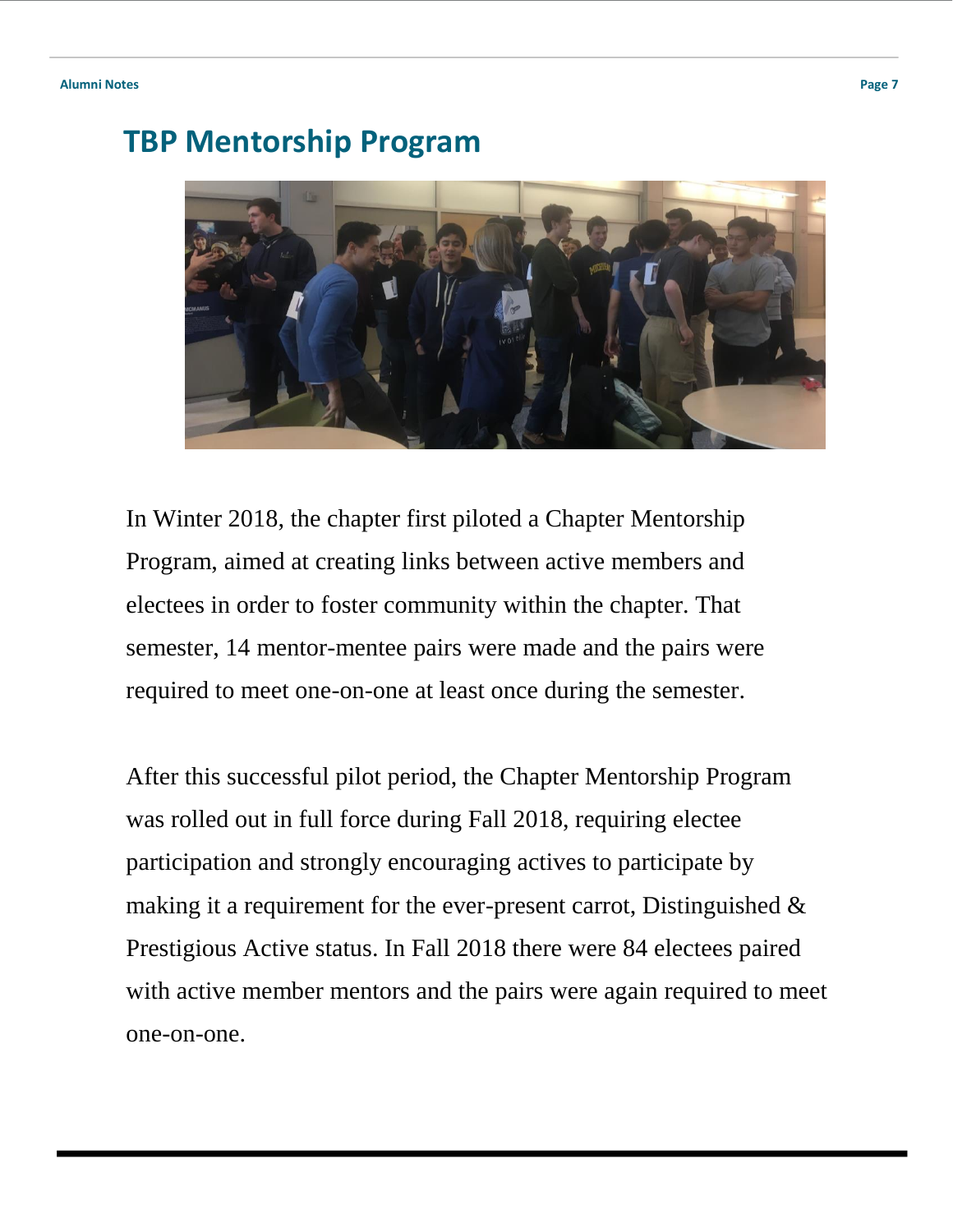## **TBP Mentorship Program**



In Winter 2018, the chapter first piloted a Chapter Mentorship Program, aimed at creating links between active members and electees in order to foster community within the chapter. That semester, 14 mentor-mentee pairs were made and the pairs were required to meet one-on-one at least once during the semester.

After this successful pilot period, the Chapter Mentorship Program was rolled out in full force during Fall 2018, requiring electee participation and strongly encouraging actives to participate by making it a requirement for the ever-present carrot, Distinguished  $\&$ Prestigious Active status. In Fall 2018 there were 84 electees paired with active member mentors and the pairs were again required to meet one-on-one.